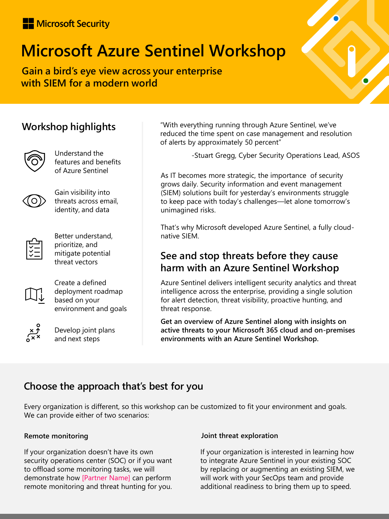## Microsoft Security

# **Microsoft Azure Sentinel Workshop**

**Gain a bird's eye view across your enterprise with SIEM for a modern world**

## **Workshop highlights**



Understand the features and benefits of Azure Sentinel



Gain visibility into threats across email, identity, and data



Better understand, prioritize, and mitigate potential threat vectors



Create a defined deployment roadmap based on your environment and goals



Develop joint plans and next steps

"With everything running through Azure Sentinel, we've reduced the time spent on case management and resolution of alerts by approximately 50 percent"

-Stuart Gregg, Cyber Security Operations Lead, ASOS

As IT becomes more strategic, the importance of security grows daily. Security information and event management (SIEM) solutions built for yesterday's environments struggle to keep pace with today's challenges—let alone tomorrow's unimagined risks.

That's why Microsoft developed Azure Sentinel, a fully cloudnative SIEM.

## **See and stop threats before they cause harm with an Azure Sentinel Workshop**

Azure Sentinel delivers intelligent security analytics and threat intelligence across the enterprise, providing a single solution for alert detection, threat visibility, proactive hunting, and threat response.

**Get an overview of Azure Sentinel along with insights on active threats to your Microsoft 365 cloud and on-premises environments with an Azure Sentinel Workshop.** 

# **Choose the approach that's best for you**

Every organization is different, so this workshop can be customized to fit your environment and goals. We can provide either of two scenarios:

#### **Remote monitoring**

If your organization doesn't have its own security operations center (SOC) or if you want to offload some monitoring tasks, we will demonstrate how [Partner Name] can perform remote monitoring and threat hunting for you.

#### **Joint threat exploration**

If your organization is interested in learning how to integrate Azure Sentinel in your existing SOC by replacing or augmenting an existing SIEM, we will work with your SecOps team and provide additional readiness to bring them up to speed.